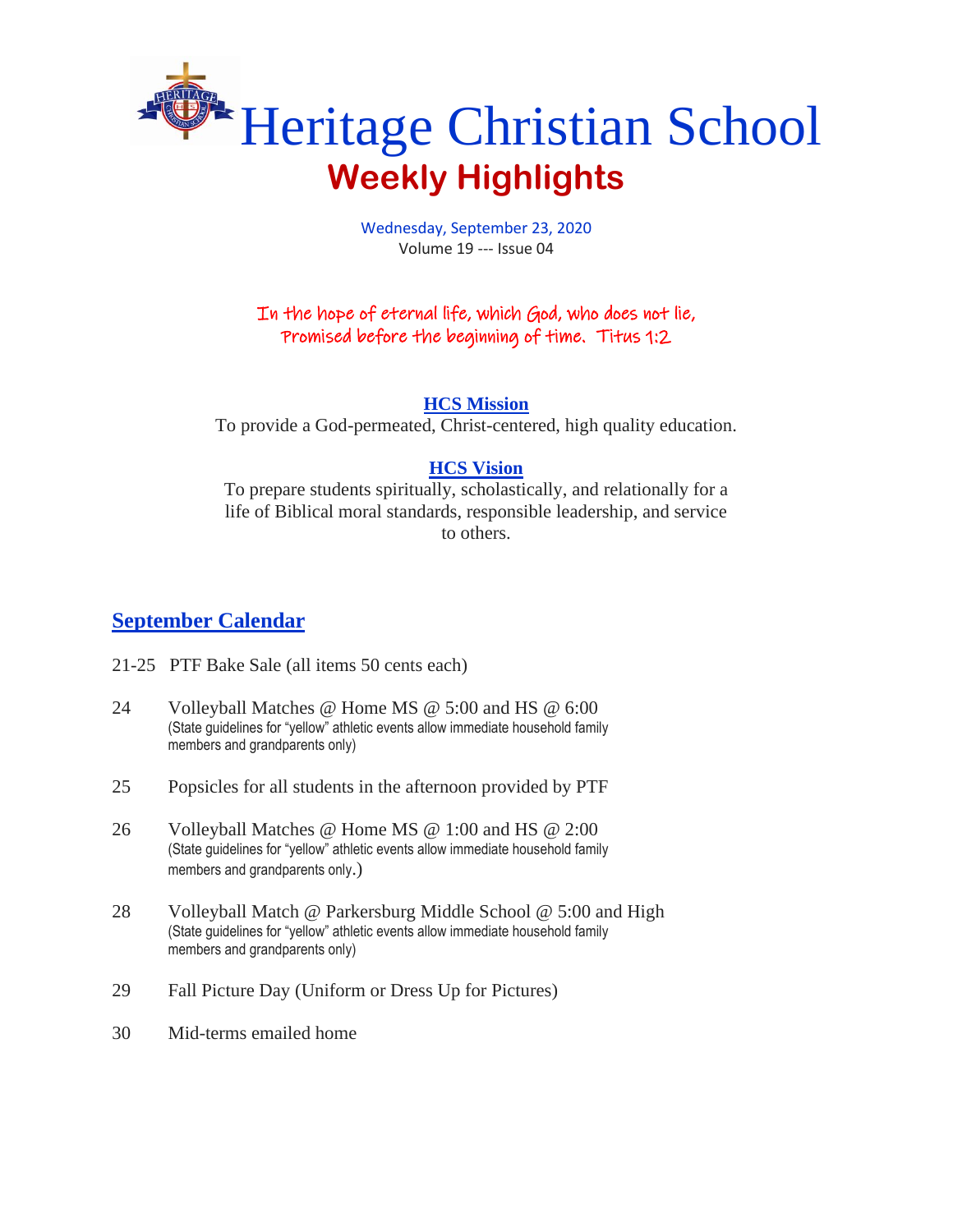

Wednesday, September 23, 2020 Volume 19 --- Issue 04

In the hope of eternal life, which God, who does not lie, Promised before the beginning of time. Titus 1:2

**HCS Mission**

To provide a God-permeated, Christ-centered, high quality education.

## **HCS Vision**

To prepare students spiritually, scholastically, and relationally for a life of Biblical moral standards, responsible leadership, and service to others.

# **September Calendar**

- 21-25 PTF Bake Sale (all items 50 cents each)
- 24 Volleyball Matches @ Home MS @ 5:00 and HS @ 6:00 (State guidelines for "yellow" athletic events allow immediate household family members and grandparents only)
- 25 Popsicles for all students in the afternoon provided by PTF
- 26 Volleyball Matches @ Home MS @ 1:00 and HS @ 2:00 (State guidelines for "yellow" athletic events allow immediate household family members and grandparents only.)
- 28 Volleyball Match @ Parkersburg Middle School @ 5:00 and High (State guidelines for "yellow" athletic events allow immediate household family members and grandparents only)
- 29 Fall Picture Day (Uniform or Dress Up for Pictures)
- 30 Mid-terms emailed home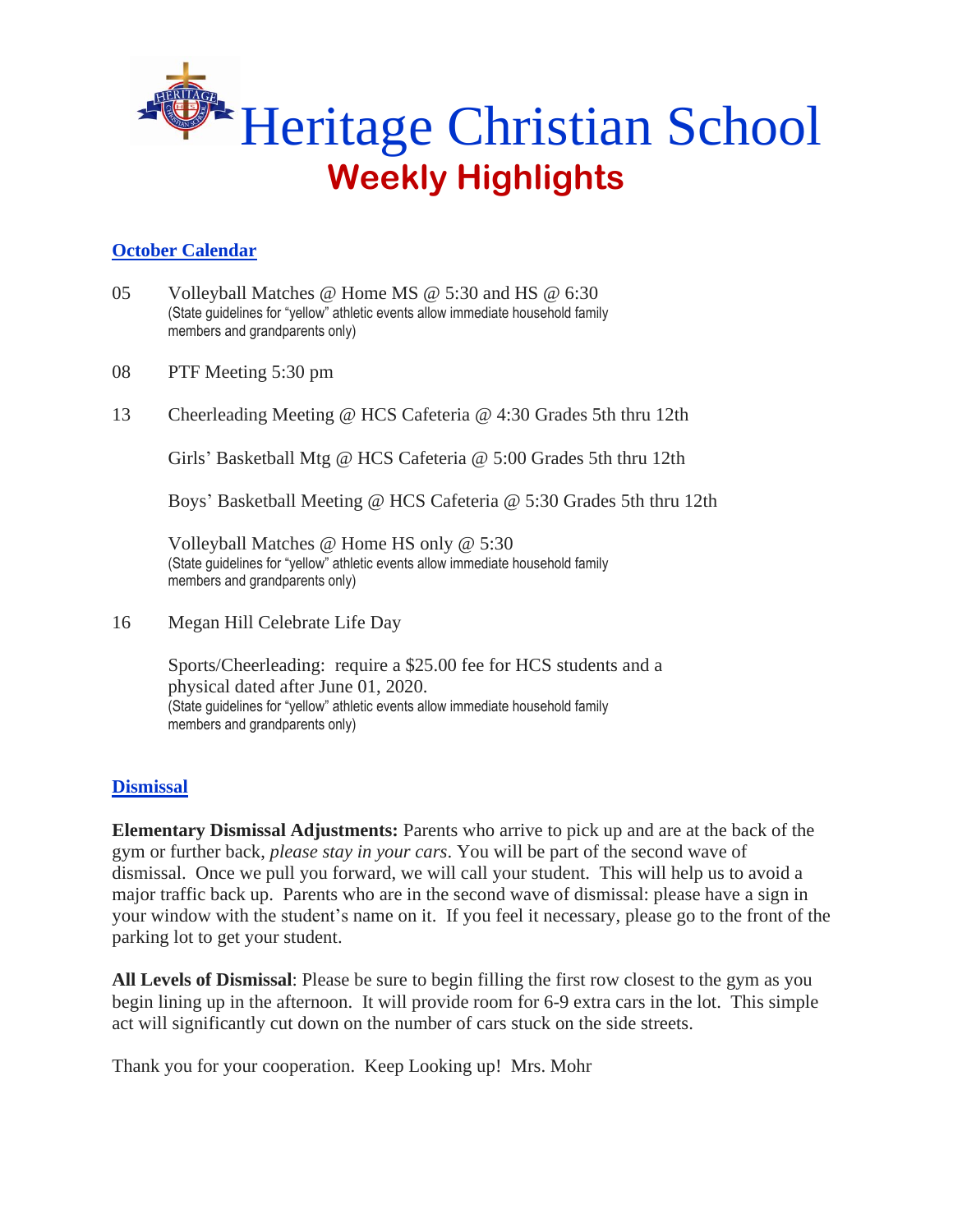

### **October Calendar**

- 05 Volleyball Matches @ Home MS @ 5:30 and HS @ 6:30 (State guidelines for "yellow" athletic events allow immediate household family members and grandparents only)
- 08 PTF Meeting 5:30 pm
- 13 Cheerleading Meeting @ HCS Cafeteria @ 4:30 Grades 5th thru 12th

Girls' Basketball Mtg @ HCS Cafeteria @ 5:00 Grades 5th thru 12th

Boys' Basketball Meeting @ HCS Cafeteria @ 5:30 Grades 5th thru 12th

Volleyball Matches @ Home HS only @ 5:30 (State guidelines for "yellow" athletic events allow immediate household family members and grandparents only)

16 Megan Hill Celebrate Life Day

Sports/Cheerleading: require a \$25.00 fee for HCS students and a physical dated after June 01, 2020. (State guidelines for "yellow" athletic events allow immediate household family members and grandparents only)

#### **Dismissal**

**Elementary Dismissal Adjustments:** Parents who arrive to pick up and are at the back of the gym or further back, *please stay in your cars*. You will be part of the second wave of dismissal. Once we pull you forward, we will call your student. This will help us to avoid a major traffic back up. Parents who are in the second wave of dismissal: please have a sign in your window with the student's name on it. If you feel it necessary, please go to the front of the parking lot to get your student.

**All Levels of Dismissal**: Please be sure to begin filling the first row closest to the gym as you begin lining up in the afternoon. It will provide room for 6-9 extra cars in the lot. This simple act will significantly cut down on the number of cars stuck on the side streets.

Thank you for your cooperation. Keep Looking up! Mrs. Mohr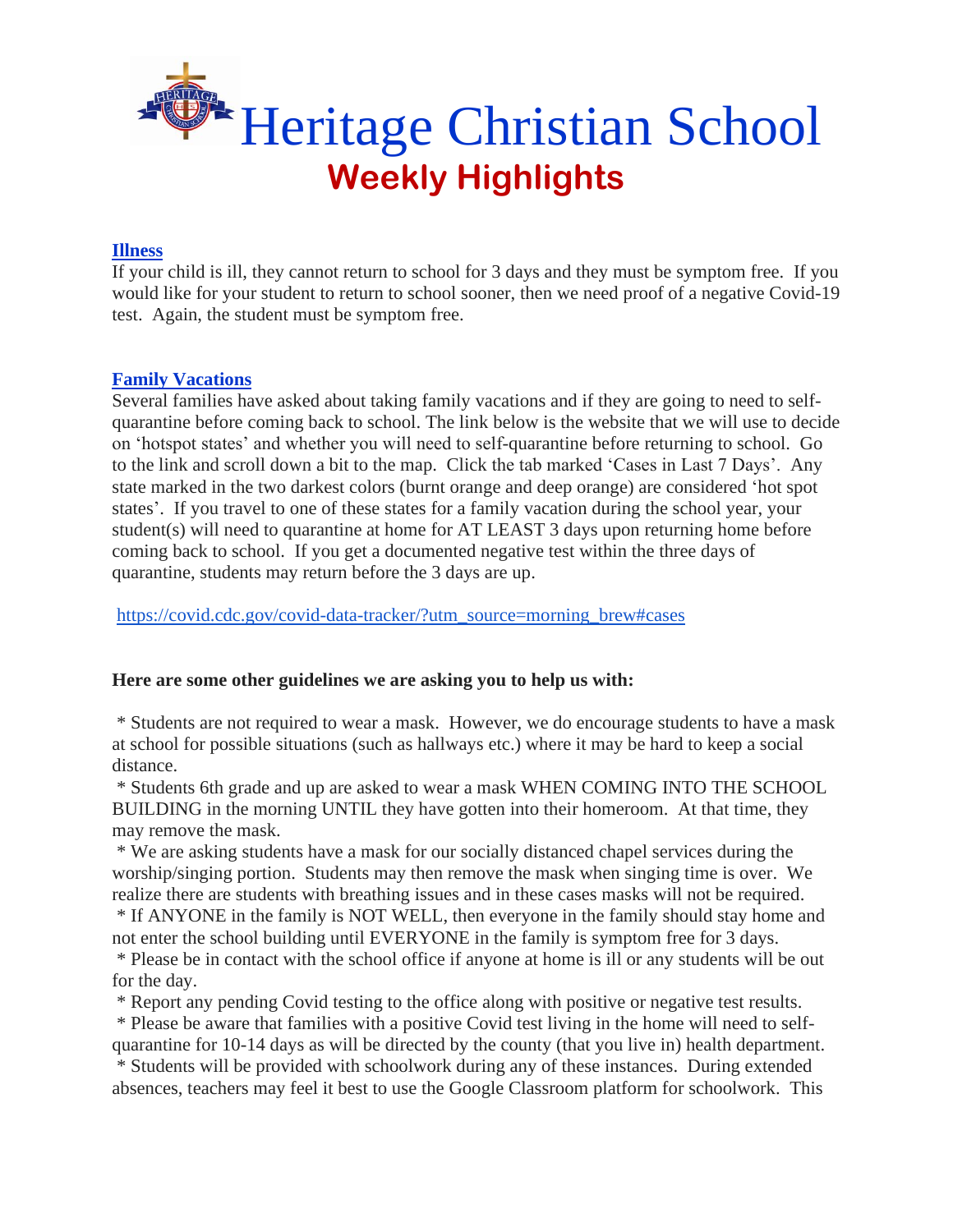

#### **Illness**

If your child is ill, they cannot return to school for 3 days and they must be symptom free. If you would like for your student to return to school sooner, then we need proof of a negative Covid-19 test. Again, the student must be symptom free.

## **Family Vacations**

Several families have asked about taking family vacations and if they are going to need to selfquarantine before coming back to school. The link below is the website that we will use to decide on 'hotspot states' and whether you will need to self-quarantine before returning to school. Go to the link and scroll down a bit to the map. Click the tab marked 'Cases in Last 7 Days'. Any state marked in the two darkest colors (burnt orange and deep orange) are considered 'hot spot states'. If you travel to one of these states for a family vacation during the school year, your student(s) will need to quarantine at home for AT LEAST 3 days upon returning home before coming back to school. If you get a documented negative test within the three days of quarantine, students may return before the 3 days are up.

[https://covid.cdc.gov/covid-data-tracker/?utm\\_source=morning\\_brew#cases](https://covid.cdc.gov/covid-data-tracker/?utm_source=morning_brew#cases)

#### **Here are some other guidelines we are asking you to help us with:**

\* Students are not required to wear a mask. However, we do encourage students to have a mask at school for possible situations (such as hallways etc.) where it may be hard to keep a social distance.

\* Students 6th grade and up are asked to wear a mask WHEN COMING INTO THE SCHOOL BUILDING in the morning UNTIL they have gotten into their homeroom. At that time, they may remove the mask.

\* We are asking students have a mask for our socially distanced chapel services during the worship/singing portion. Students may then remove the mask when singing time is over. We realize there are students with breathing issues and in these cases masks will not be required.

\* If ANYONE in the family is NOT WELL, then everyone in the family should stay home and not enter the school building until EVERYONE in the family is symptom free for 3 days.

\* Please be in contact with the school office if anyone at home is ill or any students will be out for the day.

\* Report any pending Covid testing to the office along with positive or negative test results.

\* Please be aware that families with a positive Covid test living in the home will need to selfquarantine for 10-14 days as will be directed by the county (that you live in) health department.

\* Students will be provided with schoolwork during any of these instances. During extended absences, teachers may feel it best to use the Google Classroom platform for schoolwork. This